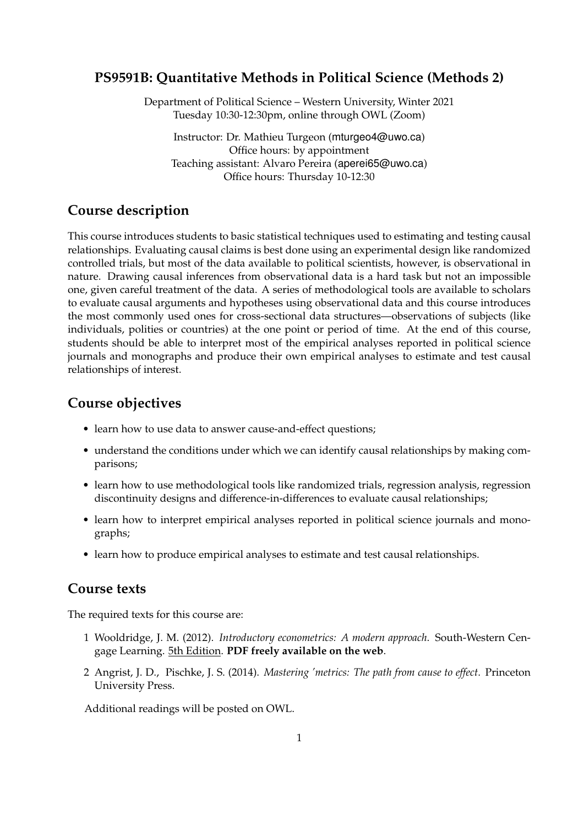### **PS9591B: Quantitative Methods in Political Science (Methods 2)**

Department of Political Science – Western University, Winter 2021 Tuesday 10:30-12:30pm, online through OWL (Zoom)

Instructor: Dr. Mathieu Turgeon (mturgeo4@uwo.ca) Office hours: by appointment Teaching assistant: Alvaro Pereira (aperei65@uwo.ca) Office hours: Thursday 10-12:30

## **Course description**

This course introduces students to basic statistical techniques used to estimating and testing causal relationships. Evaluating causal claims is best done using an experimental design like randomized controlled trials, but most of the data available to political scientists, however, is observational in nature. Drawing causal inferences from observational data is a hard task but not an impossible one, given careful treatment of the data. A series of methodological tools are available to scholars to evaluate causal arguments and hypotheses using observational data and this course introduces the most commonly used ones for cross-sectional data structures—observations of subjects (like individuals, polities or countries) at the one point or period of time. At the end of this course, students should be able to interpret most of the empirical analyses reported in political science journals and monographs and produce their own empirical analyses to estimate and test causal relationships of interest.

## **Course objectives**

- learn how to use data to answer cause-and-effect questions;
- understand the conditions under which we can identify causal relationships by making comparisons;
- learn how to use methodological tools like randomized trials, regression analysis, regression discontinuity designs and difference-in-differences to evaluate causal relationships;
- learn how to interpret empirical analyses reported in political science journals and monographs;
- learn how to produce empirical analyses to estimate and test causal relationships.

### **Course texts**

The required texts for this course are:

- 1 Wooldridge, J. M. (2012). *Introductory econometrics: A modern approach*. South-Western Cengage Learning. 5th Edition. **PDF freely available on the web**.
- 2 Angrist, J. D., Pischke, J. S. (2014). *Mastering 'metrics: The path from cause to effect*. Princeton University Press.

Additional readings will be posted on OWL.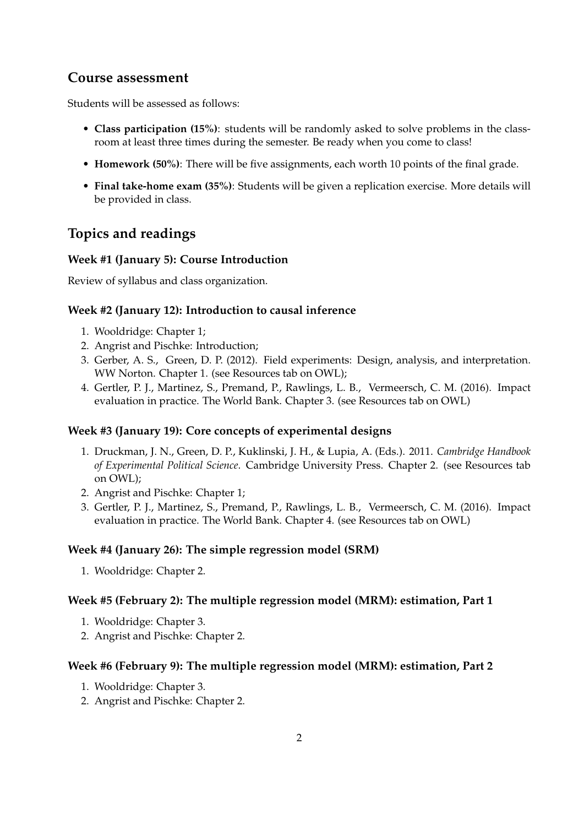## **Course assessment**

Students will be assessed as follows:

- **Class participation (15%)**: students will be randomly asked to solve problems in the classroom at least three times during the semester. Be ready when you come to class!
- **Homework (50%)**: There will be five assignments, each worth 10 points of the final grade.
- **Final take-home exam (35%)**: Students will be given a replication exercise. More details will be provided in class.

# **Topics and readings**

#### **Week #1 (January 5): Course Introduction**

Review of syllabus and class organization.

#### **Week #2 (January 12): Introduction to causal inference**

- 1. Wooldridge: Chapter 1;
- 2. Angrist and Pischke: Introduction;
- 3. Gerber, A. S., Green, D. P. (2012). Field experiments: Design, analysis, and interpretation. WW Norton. Chapter 1. (see Resources tab on OWL);
- 4. Gertler, P. J., Martinez, S., Premand, P., Rawlings, L. B., Vermeersch, C. M. (2016). Impact evaluation in practice. The World Bank. Chapter 3. (see Resources tab on OWL)

#### **Week #3 (January 19): Core concepts of experimental designs**

- 1. Druckman, J. N., Green, D. P., Kuklinski, J. H., & Lupia, A. (Eds.). 2011. *Cambridge Handbook of Experimental Political Science*. Cambridge University Press. Chapter 2. (see Resources tab on OWL);
- 2. Angrist and Pischke: Chapter 1;
- 3. Gertler, P. J., Martinez, S., Premand, P., Rawlings, L. B., Vermeersch, C. M. (2016). Impact evaluation in practice. The World Bank. Chapter 4. (see Resources tab on OWL)

#### **Week #4 (January 26): The simple regression model (SRM)**

1. Wooldridge: Chapter 2.

#### **Week #5 (February 2): The multiple regression model (MRM): estimation, Part 1**

- 1. Wooldridge: Chapter 3.
- 2. Angrist and Pischke: Chapter 2.

#### **Week #6 (February 9): The multiple regression model (MRM): estimation, Part 2**

- 1. Wooldridge: Chapter 3.
- 2. Angrist and Pischke: Chapter 2.